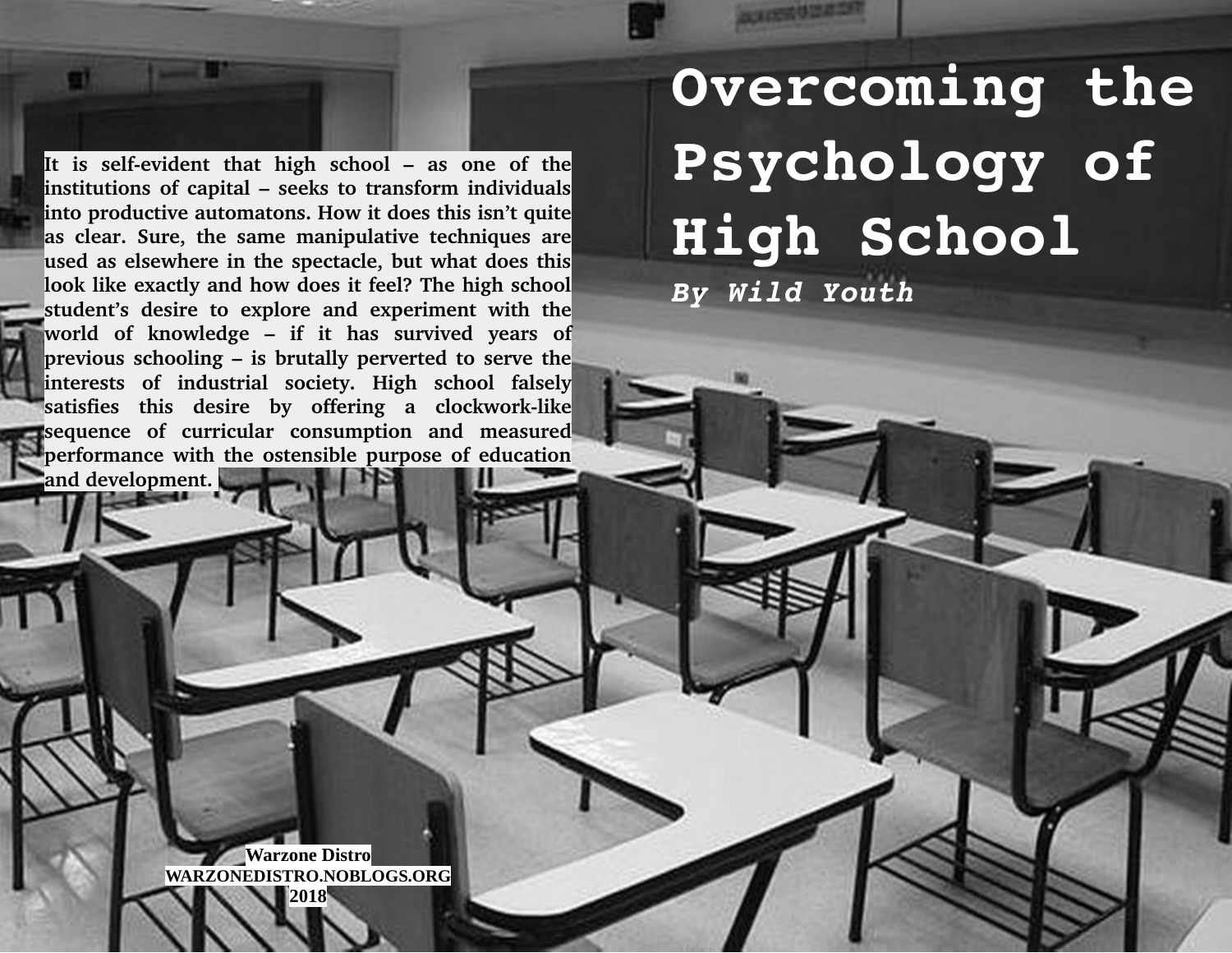

**institutions of capital – seeks to transform individuals into productive automatons. How it does this isn't quite as clear. Sure, the same manipulative techniques are used as elsewhere in the spectacle, but what does this look like exactly and how does it feel? The high school student's desire to explore and experiment with the world of knowledge – if it has survived years of previous schooling – is brutally perverted to serve the interests of industrial society. High school falsely** satisfies this desire by offering a clockwork-like **sequence of curricular consumption and measured performance with the ostensible purpose of education and development.** 

# **Overcoming the Psychology of High School** *By Wild Youth*

**Warzone Distro WARZONEDISTRO.NOBLOGS.ORG 2018**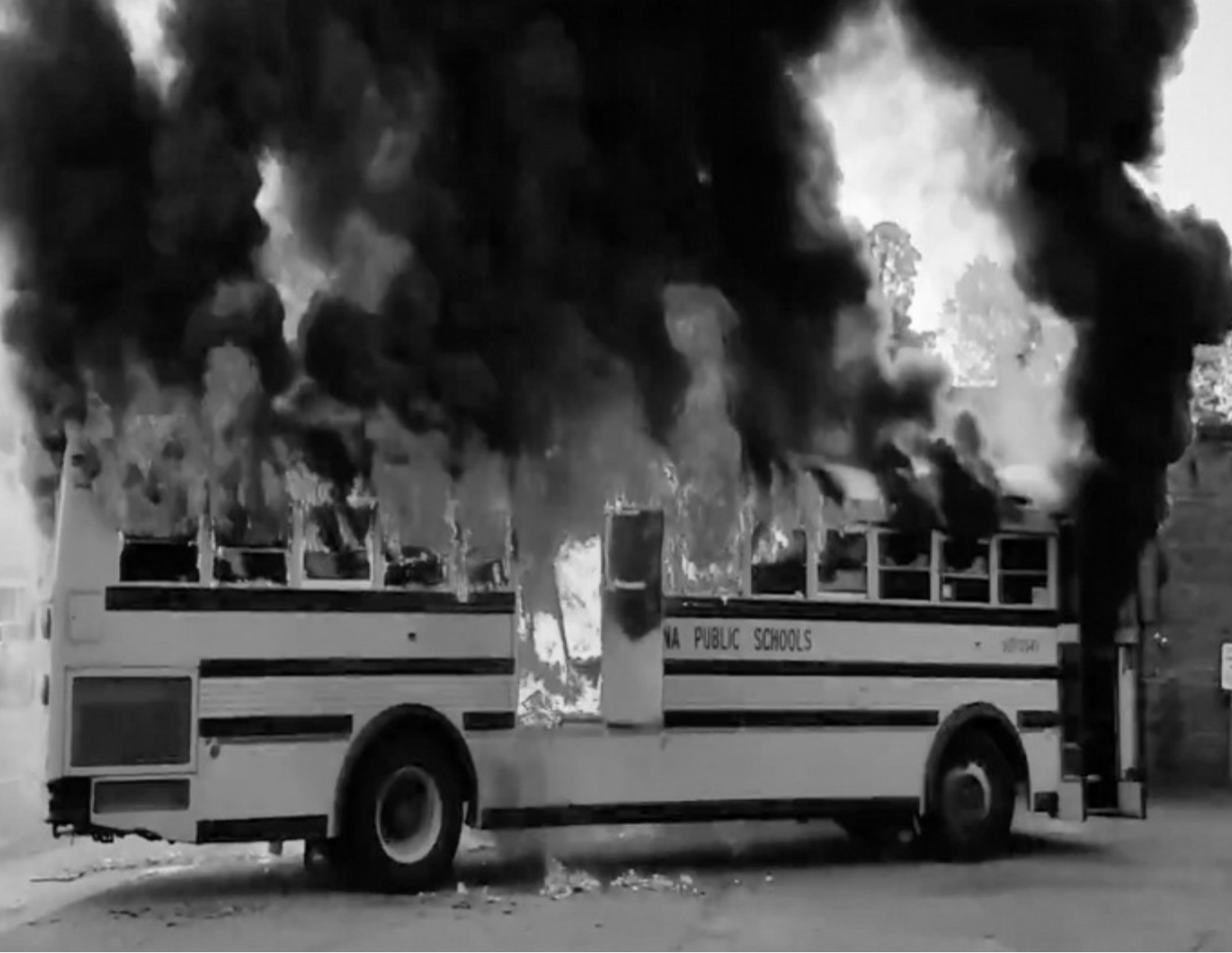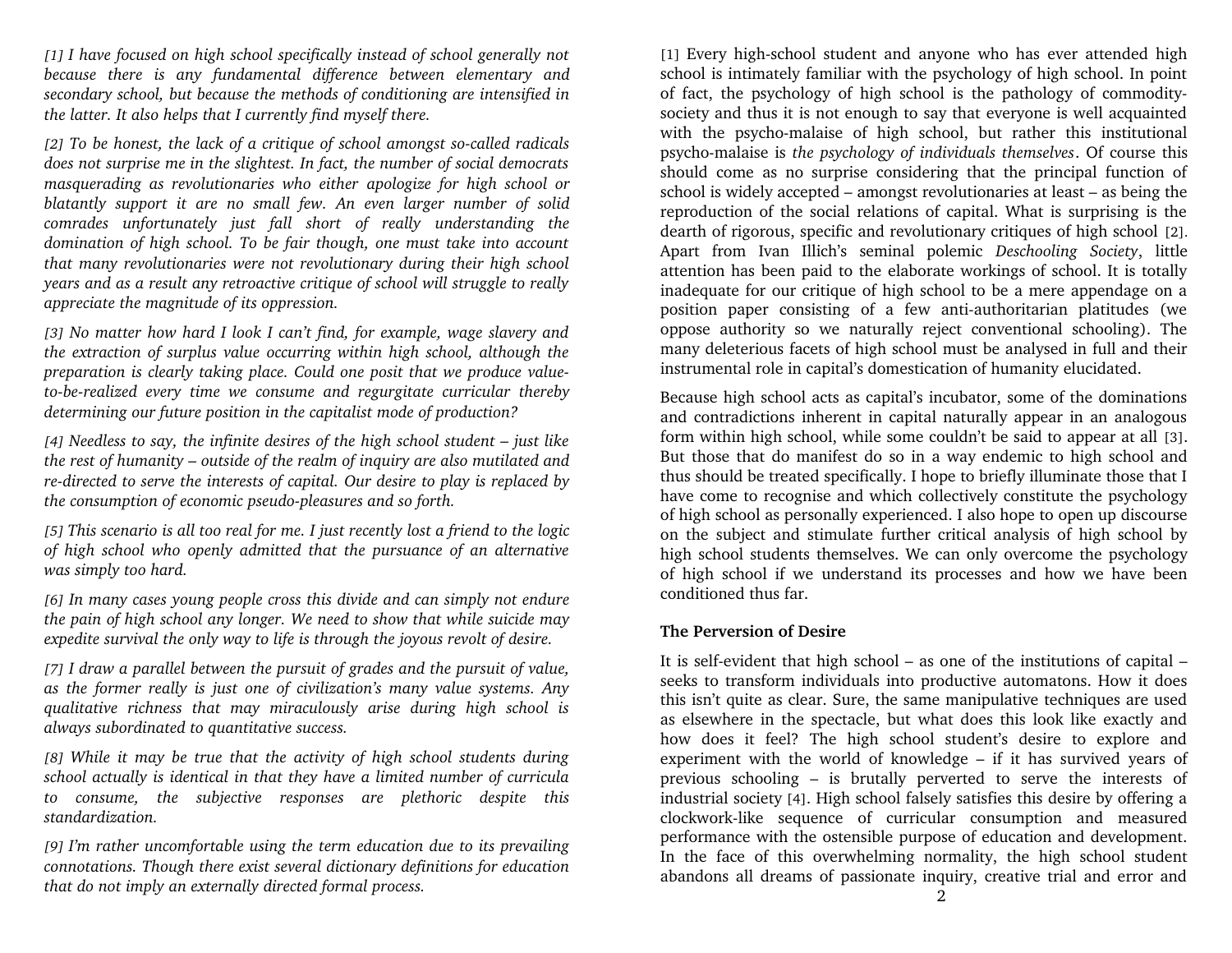*[1] I have focused on high school specifically instead of school generally not because there is any fundamental difference between elementary and secondary school, but because the methods of conditioning are intensified in the latter. It also helps that I currently find myself there.* 

[2] To be honest, the lack of a critique of school amongst so-called radicals *does not surprise me in the slightest. In fact, the number of social democrats masquerading as revolutionaries who either apologize for high school or blatantly support it are no small few. An even larger number of solid comrades unfortunately just fall short of really understanding the domination of high school. To be fair though, one must take into account that many revolutionaries were not revolutionary during their high school years and as a result any retroactive critique of school will struggle to really appreciate the magnitude of its oppression.* 

*[3] No matter how hard I look I can't find, for example, wage slavery and the extraction of surplus value occurring within high school, although the preparation is clearly taking place. Could one posit that we produce valuetoberealized every time we consume and regurgitate curricular thereby determining our future position in the capitalist mode of production?* 

*[4] Needless to say, the infinite desires of the high school student – just like the rest of humanity – outside of the realm of inquiry are also mutilated and* re-directed to serve the interests of capital. Our desire to play is replaced by *the consumption of economic pseudo-pleasures and so forth.* 

*[5] This scenario is all too real for me. I just recently lost a friend to the logic of high school who openly admitted that the pursuance of an alternative was simply too hard.* 

*[6] In many cases young people cross this divide and can simply not endure the pain of high school any longer. We need to show that while suicide may expedite survival the only way to life is through the joyous revolt of desire.* 

*[7] I draw a parallel between the pursuit of grades and the pursuit of value, as the former really is just one of civilization's many value systems. Any qualitative richness that may miraculously arise during high school is always subordinated to quantitative success.* 

*[8] While it may be true that the activity of high school students during school actually is identical in that they have a limited number of curricula to consume, the subjective responses are plethoric despite this standardization.* 

*[9] I'm rather uncomfortable using the term education due to its prevailing connotations. Though there exist several dictionary definitions for education that do not imply an externally directed formal process.* 

[1] Every high-school student and anyone who has ever attended high school is intimately familiar with the psychology of high school. In point of fact, the psychology of high school is the pathology of commoditysociety and thus it is not enough to say that everyone is well acquainted with the psycho-malaise of high school, but rather this institutional psychomalaise is *the psychology of individuals themselves*. Of course this should come as no surprise considering that the principal function of school is widely accepted – amongst revolutionaries at least – as being the reproduction of the social relations of capital. What is surprising is the dearth of rigorous, specific and revolutionary critiques of high school [2]. Apart from Ivan Illich's seminal polemic *Deschooling Society*, little attention has been paid to the elaborate workings of school. It is totally inadequate for our critique of high school to be a mere appendage on a position paper consisting of a few anti-authoritarian platitudes (we oppose authority so we naturally reject conventional schooling). The many deleterious facets of high school must be analysed in full and their instrumental role in capital's domestication of humanity elucidated.

Because high school acts as capital's incubator, some of the dominations and contradictions inherent in capital naturally appear in an analogous form within high school, while some couldn't be said to appear at all [3]. But those that do manifest do so in a way endemic to high school and thus should be treated specifically. I hope to briefly illuminate those that I have come to recognise and which collectively constitute the psychology of high school as personally experienced. I also hope to open up discourse on the subject and stimulate further critical analysis of high school by high school students themselves. We can only overcome the psychology of high school if we understand its processes and how we have been conditioned thus far.

#### **The Perversion of Desire**

It is self-evident that high school – as one of the institutions of capital – seeks to transform individuals into productive automatons. How it does this isn't quite as clear. Sure, the same manipulative techniques are used as elsewhere in the spectacle, but what does this look like exactly and how does it feel? The high school student's desire to explore and experiment with the world of knowledge – if it has survived years of previous schooling – is brutally perverted to serve the interests of industrial society [4]. High school falsely satisfies this desire by offering a clockworklike sequence of curricular consumption and measured performance with the ostensible purpose of education and development. In the face of this overwhelming normality, the high school student abandons all dreams of passionate inquiry, creative trial and error and